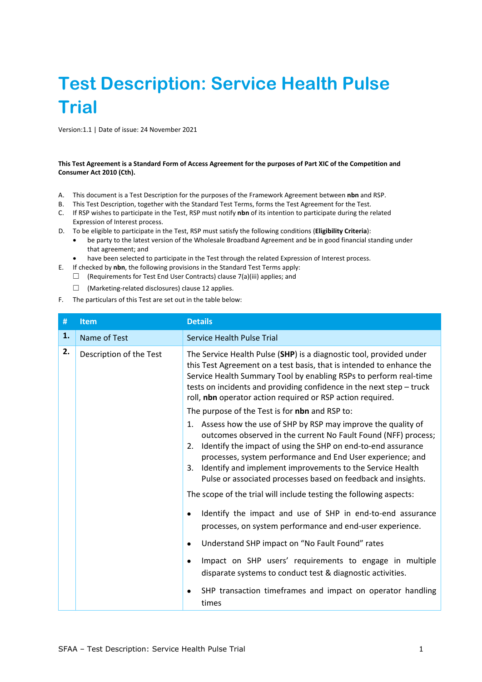# **Test Description: Service Health Pulse Trial**

Version:1.1 | Date of issue: 24 November 2021

## **This Test Agreement is a Standard Form of Access Agreement for the purposes of Part XIC of the Competition and Consumer Act 2010 (Cth).**

- A. This document is a Test Description for the purposes of the Framework Agreement between **nbn** and RSP.
- B. This Test Description, together with the Standard Test Terms, forms the Test Agreement for the Test.
- C. If RSP wishes to participate in the Test, RSP must notify **nbn** of its intention to participate during the related Expression of Interest process.
- D. To be eligible to participate in the Test, RSP must satisfy the following conditions (**Eligibility Criteria**):
	- be party to the latest version of the Wholesale Broadband Agreement and be in good financial standing under that agreement; and
	- have been selected to participate in the Test through the related Expression of Interest process.
- E. If checked by **nbn**, the following provisions in the Standard Test Terms apply:
	- $\Box$  (Requirements for Test End User Contracts) clause 7(a)(iii) applies; and

☐ (Marketing-related disclosures) clause 12 applies.

F. The particulars of this Test are set out in the table below:

<span id="page-0-0"></span>

| #  | <b>Item</b>             | <b>Details</b>                                                                                                                                                                                                                                                                                                                                                                                                                                                                                                                                                                                                         |  |
|----|-------------------------|------------------------------------------------------------------------------------------------------------------------------------------------------------------------------------------------------------------------------------------------------------------------------------------------------------------------------------------------------------------------------------------------------------------------------------------------------------------------------------------------------------------------------------------------------------------------------------------------------------------------|--|
| 1. | Name of Test            | Service Health Pulse Trial                                                                                                                                                                                                                                                                                                                                                                                                                                                                                                                                                                                             |  |
| 2. | Description of the Test | The Service Health Pulse (SHP) is a diagnostic tool, provided under<br>this Test Agreement on a test basis, that is intended to enhance the<br>Service Health Summary Tool by enabling RSPs to perform real-time<br>tests on incidents and providing confidence in the next step - truck<br>roll, nbn operator action required or RSP action required.                                                                                                                                                                                                                                                                 |  |
|    |                         | The purpose of the Test is for nbn and RSP to:                                                                                                                                                                                                                                                                                                                                                                                                                                                                                                                                                                         |  |
|    |                         | 1. Assess how the use of SHP by RSP may improve the quality of<br>outcomes observed in the current No Fault Found (NFF) process;<br>Identify the impact of using the SHP on end-to-end assurance<br>2.<br>processes, system performance and End User experience; and<br>Identify and implement improvements to the Service Health<br>3.<br>Pulse or associated processes based on feedback and insights.<br>The scope of the trial will include testing the following aspects:<br>Identify the impact and use of SHP in end-to-end assurance<br>$\bullet$<br>processes, on system performance and end-user experience. |  |
|    |                         | Understand SHP impact on "No Fault Found" rates<br>$\bullet$                                                                                                                                                                                                                                                                                                                                                                                                                                                                                                                                                           |  |
|    |                         | Impact on SHP users' requirements to engage in multiple<br>disparate systems to conduct test & diagnostic activities.                                                                                                                                                                                                                                                                                                                                                                                                                                                                                                  |  |
|    |                         | SHP transaction timeframes and impact on operator handling<br>times                                                                                                                                                                                                                                                                                                                                                                                                                                                                                                                                                    |  |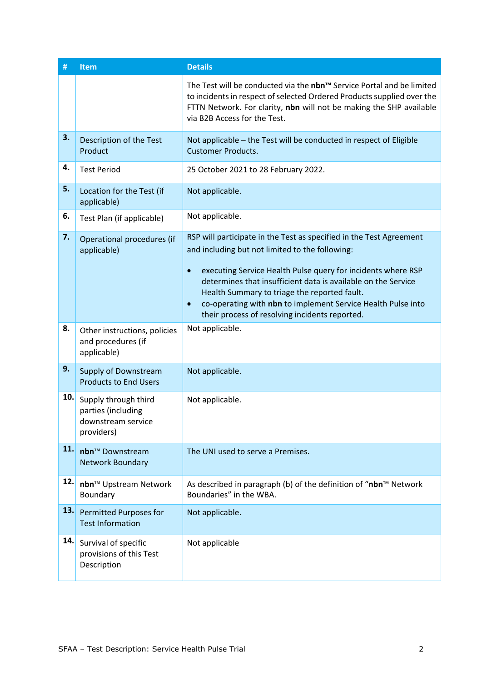| #   | <b>Item</b>                                                                    | <b>Details</b>                                                                                                                                                                                                                                                                                                                                                                                                                                      |  |  |
|-----|--------------------------------------------------------------------------------|-----------------------------------------------------------------------------------------------------------------------------------------------------------------------------------------------------------------------------------------------------------------------------------------------------------------------------------------------------------------------------------------------------------------------------------------------------|--|--|
|     |                                                                                | The Test will be conducted via the nbn™ Service Portal and be limited<br>to incidents in respect of selected Ordered Products supplied over the<br>FTTN Network. For clarity, nbn will not be making the SHP available<br>via B2B Access for the Test.                                                                                                                                                                                              |  |  |
| 3.  | Description of the Test<br>Product                                             | Not applicable - the Test will be conducted in respect of Eligible<br><b>Customer Products.</b>                                                                                                                                                                                                                                                                                                                                                     |  |  |
| 4.  | <b>Test Period</b>                                                             | 25 October 2021 to 28 February 2022.                                                                                                                                                                                                                                                                                                                                                                                                                |  |  |
| 5.  | Location for the Test (if<br>applicable)                                       | Not applicable.                                                                                                                                                                                                                                                                                                                                                                                                                                     |  |  |
| 6.  | Test Plan (if applicable)                                                      | Not applicable.                                                                                                                                                                                                                                                                                                                                                                                                                                     |  |  |
| 7.  | Operational procedures (if<br>applicable)                                      | RSP will participate in the Test as specified in the Test Agreement<br>and including but not limited to the following:<br>executing Service Health Pulse query for incidents where RSP<br>$\bullet$<br>determines that insufficient data is available on the Service<br>Health Summary to triage the reported fault.<br>co-operating with nbn to implement Service Health Pulse into<br>$\bullet$<br>their process of resolving incidents reported. |  |  |
| 8.  | Other instructions, policies<br>and procedures (if<br>applicable)              | Not applicable.                                                                                                                                                                                                                                                                                                                                                                                                                                     |  |  |
| 9.  | <b>Supply of Downstream</b><br><b>Products to End Users</b>                    | Not applicable.                                                                                                                                                                                                                                                                                                                                                                                                                                     |  |  |
| 10. | Supply through third<br>parties (including<br>downstream service<br>providers) | Not applicable.                                                                                                                                                                                                                                                                                                                                                                                                                                     |  |  |
| 11. | nbn <sup>™</sup> Downstream<br><b>Network Boundary</b>                         | The UNI used to serve a Premises.                                                                                                                                                                                                                                                                                                                                                                                                                   |  |  |
| 12. | nbn™ Upstream Network<br>Boundary                                              | As described in paragraph (b) of the definition of "nbn™ Network<br>Boundaries" in the WBA.                                                                                                                                                                                                                                                                                                                                                         |  |  |
| 13. | <b>Permitted Purposes for</b><br><b>Test Information</b>                       | Not applicable.                                                                                                                                                                                                                                                                                                                                                                                                                                     |  |  |
| 14. | Survival of specific<br>provisions of this Test<br>Description                 | Not applicable                                                                                                                                                                                                                                                                                                                                                                                                                                      |  |  |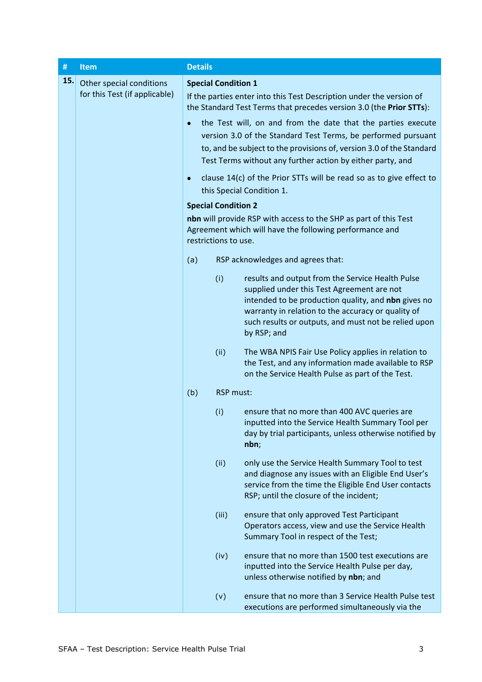<span id="page-2-1"></span><span id="page-2-0"></span>

| $\#$ | <b>Item</b>                                                                         | <b>Details</b>                                                                                                                                      |                            |                                                                                                                                                                                                                                                                                    |  |  |
|------|-------------------------------------------------------------------------------------|-----------------------------------------------------------------------------------------------------------------------------------------------------|----------------------------|------------------------------------------------------------------------------------------------------------------------------------------------------------------------------------------------------------------------------------------------------------------------------------|--|--|
| 15.  | Other special conditions<br>for this Test (if applicable)<br>$\bullet$<br>$\bullet$ | <b>Special Condition 1</b>                                                                                                                          |                            |                                                                                                                                                                                                                                                                                    |  |  |
|      |                                                                                     |                                                                                                                                                     |                            | If the parties enter into this Test Description under the version of<br>the Standard Test Terms that precedes version 3.0 (the Prior STTs):                                                                                                                                        |  |  |
|      |                                                                                     |                                                                                                                                                     |                            | the Test will, on and from the date that the parties execute<br>version 3.0 of the Standard Test Terms, be performed pursuant<br>to, and be subject to the provisions of, version 3.0 of the Standard<br>Test Terms without any further action by either party, and                |  |  |
|      |                                                                                     | clause 14(c) of the Prior STTs will be read so as to give effect to<br>this Special Condition 1.                                                    |                            |                                                                                                                                                                                                                                                                                    |  |  |
|      |                                                                                     |                                                                                                                                                     | <b>Special Condition 2</b> |                                                                                                                                                                                                                                                                                    |  |  |
|      |                                                                                     | nbn will provide RSP with access to the SHP as part of this Test<br>Agreement which will have the following performance and<br>restrictions to use. |                            |                                                                                                                                                                                                                                                                                    |  |  |
|      |                                                                                     | (a)                                                                                                                                                 |                            | RSP acknowledges and agrees that:                                                                                                                                                                                                                                                  |  |  |
|      |                                                                                     |                                                                                                                                                     | (i)                        | results and output from the Service Health Pulse<br>supplied under this Test Agreement are not<br>intended to be production quality, and nbn gives no<br>warranty in relation to the accuracy or quality of<br>such results or outputs, and must not be relied upon<br>by RSP; and |  |  |
|      |                                                                                     |                                                                                                                                                     | (ii)                       | The WBA NPIS Fair Use Policy applies in relation to<br>the Test, and any information made available to RSP<br>on the Service Health Pulse as part of the Test.                                                                                                                     |  |  |
|      |                                                                                     | (b)                                                                                                                                                 | RSP must:                  |                                                                                                                                                                                                                                                                                    |  |  |
|      |                                                                                     |                                                                                                                                                     | (i)                        | ensure that no more than 400 AVC queries are<br>inputted into the Service Health Summary Tool per<br>day by trial participants, unless otherwise notified by<br>nbn;                                                                                                               |  |  |
|      |                                                                                     |                                                                                                                                                     | (ii)                       | only use the Service Health Summary Tool to test<br>and diagnose any issues with an Eligible End User's<br>service from the time the Eligible End User contacts<br>RSP; until the closure of the incident;                                                                         |  |  |
|      |                                                                                     |                                                                                                                                                     | (iii)                      | ensure that only approved Test Participant<br>Operators access, view and use the Service Health<br>Summary Tool in respect of the Test;                                                                                                                                            |  |  |
|      |                                                                                     |                                                                                                                                                     | (iv)                       | ensure that no more than 1500 test executions are<br>inputted into the Service Health Pulse per day,<br>unless otherwise notified by nbn; and                                                                                                                                      |  |  |
|      |                                                                                     |                                                                                                                                                     | (v)                        | ensure that no more than 3 Service Health Pulse test<br>executions are performed simultaneously via the                                                                                                                                                                            |  |  |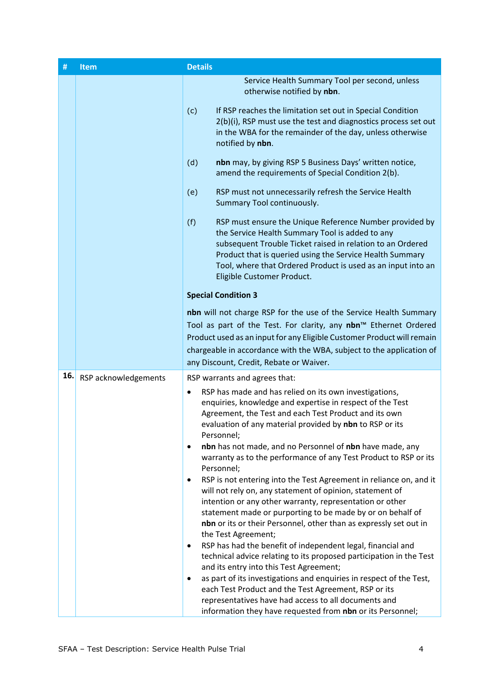| #   | Item                 | <b>Details</b>                                                                                                                                                                                                                                                                                                                               |
|-----|----------------------|----------------------------------------------------------------------------------------------------------------------------------------------------------------------------------------------------------------------------------------------------------------------------------------------------------------------------------------------|
|     |                      | Service Health Summary Tool per second, unless<br>otherwise notified by nbn.<br>If RSP reaches the limitation set out in Special Condition<br>(c)<br>2(b)(i), RSP must use the test and diagnostics process set out<br>in the WBA for the remainder of the day, unless otherwise                                                             |
|     |                      | notified by nbn.<br>nbn may, by giving RSP 5 Business Days' written notice,<br>(d)                                                                                                                                                                                                                                                           |
|     |                      | amend the requirements of Special Condition 2(b).                                                                                                                                                                                                                                                                                            |
|     |                      | RSP must not unnecessarily refresh the Service Health<br>(e)<br>Summary Tool continuously.                                                                                                                                                                                                                                                   |
|     |                      | RSP must ensure the Unique Reference Number provided by<br>(f)<br>the Service Health Summary Tool is added to any<br>subsequent Trouble Ticket raised in relation to an Ordered<br>Product that is queried using the Service Health Summary<br>Tool, where that Ordered Product is used as an input into an<br>Eligible Customer Product.    |
|     |                      | <b>Special Condition 3</b>                                                                                                                                                                                                                                                                                                                   |
|     |                      | nbn will not charge RSP for the use of the Service Health Summary                                                                                                                                                                                                                                                                            |
|     |                      | Tool as part of the Test. For clarity, any nbn™ Ethernet Ordered                                                                                                                                                                                                                                                                             |
|     |                      | Product used as an input for any Eligible Customer Product will remain<br>chargeable in accordance with the WBA, subject to the application of                                                                                                                                                                                               |
|     |                      | any Discount, Credit, Rebate or Waiver.                                                                                                                                                                                                                                                                                                      |
| 16. | RSP acknowledgements | RSP warrants and agrees that:                                                                                                                                                                                                                                                                                                                |
|     |                      | RSP has made and has relied on its own investigations,<br>$\bullet$<br>enquiries, knowledge and expertise in respect of the Test<br>Agreement, the Test and each Test Product and its own<br>evaluation of any material provided by nbn to RSP or its<br>Personnel;<br>nbn has not made, and no Personnel of nbn have made, any<br>$\bullet$ |
|     |                      | warranty as to the performance of any Test Product to RSP or its<br>Personnel;                                                                                                                                                                                                                                                               |
|     |                      | RSP is not entering into the Test Agreement in reliance on, and it<br>$\bullet$<br>will not rely on, any statement of opinion, statement of<br>intention or any other warranty, representation or other                                                                                                                                      |
|     |                      | statement made or purporting to be made by or on behalf of<br>nbn or its or their Personnel, other than as expressly set out in<br>the Test Agreement;                                                                                                                                                                                       |
|     |                      | RSP has had the benefit of independent legal, financial and<br>$\bullet$<br>technical advice relating to its proposed participation in the Test                                                                                                                                                                                              |
|     |                      | and its entry into this Test Agreement;                                                                                                                                                                                                                                                                                                      |
|     |                      | as part of its investigations and enquiries in respect of the Test,<br>$\bullet$<br>each Test Product and the Test Agreement, RSP or its                                                                                                                                                                                                     |
|     |                      | representatives have had access to all documents and                                                                                                                                                                                                                                                                                         |
|     |                      | information they have requested from nbn or its Personnel;                                                                                                                                                                                                                                                                                   |